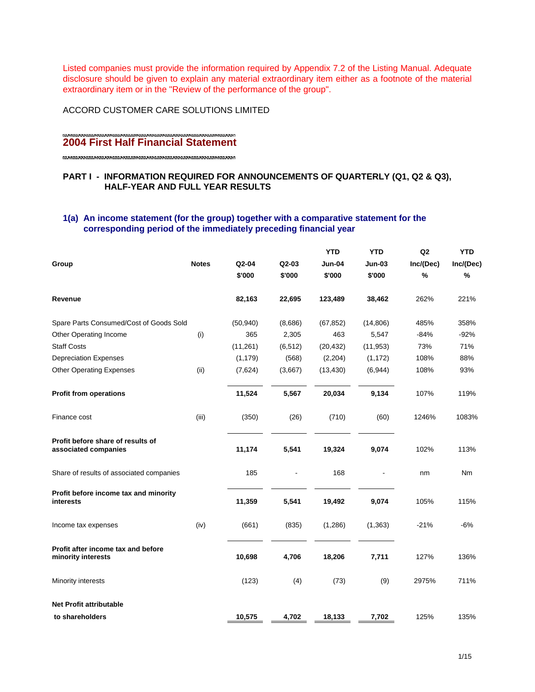Listed companies must provide the information required by Appendix 7.2 of the Listing Manual. Adequate disclosure should be given to explain any material extraordinary item either as a footnote of the material extraordinary item or in the "Review of the performance of the group".

ACCORD CUSTOMER CARE SOLUTIONS LIMITED

# **2004 First Half Financial Statement**

# **PART I - INFORMATION REQUIRED FOR ANNOUNCEMENTS OF QUARTERLY (Q1, Q2 & Q3), HALF-YEAR AND FULL YEAR RESULTS**

# **1(a) An income statement (for the group) together with a comparative statement for the corresponding period of the immediately preceding financial year**

|                                                           |              |           |          | <b>YTD</b> | <b>YTD</b>    | Q2        | <b>YTD</b> |
|-----------------------------------------------------------|--------------|-----------|----------|------------|---------------|-----------|------------|
| Group                                                     | <b>Notes</b> | Q2-04     | Q2-03    | Jun-04     | <b>Jun-03</b> | Inc/(Dec) | Inc/(Dec)  |
|                                                           |              | \$'000    | \$'000   | \$'000     | \$'000        | %         | %          |
| Revenue                                                   |              | 82,163    | 22,695   | 123,489    | 38,462        | 262%      | 221%       |
| Spare Parts Consumed/Cost of Goods Sold                   |              | (50, 940) | (8,686)  | (67, 852)  | (14,806)      | 485%      | 358%       |
| Other Operating Income                                    | (i)          | 365       | 2,305    | 463        | 5,547         | $-84%$    | $-92%$     |
| <b>Staff Costs</b>                                        |              | (11, 261) | (6, 512) | (20, 432)  | (11, 953)     | 73%       | 71%        |
| <b>Depreciation Expenses</b>                              |              | (1, 179)  | (568)    | (2,204)    | (1, 172)      | 108%      | 88%        |
| <b>Other Operating Expenses</b>                           | (ii)         | (7,624)   | (3,667)  | (13, 430)  | (6,944)       | 108%      | 93%        |
| <b>Profit from operations</b>                             |              | 11,524    | 5,567    | 20,034     | 9,134         | 107%      | 119%       |
| Finance cost                                              | (iii)        | (350)     | (26)     | (710)      | (60)          | 1246%     | 1083%      |
| Profit before share of results of<br>associated companies |              | 11,174    | 5,541    | 19,324     | 9,074         | 102%      | 113%       |
| Share of results of associated companies                  |              | 185       |          | 168        |               | nm        | Nm         |
| Profit before income tax and minority<br>interests        |              | 11,359    | 5,541    | 19,492     | 9,074         | 105%      | 115%       |
| Income tax expenses                                       | (iv)         | (661)     | (835)    | (1,286)    | (1, 363)      | $-21%$    | $-6%$      |
| Profit after income tax and before<br>minority interests  |              | 10,698    | 4,706    | 18,206     | 7,711         | 127%      | 136%       |
| Minority interests                                        |              | (123)     | (4)      | (73)       | (9)           | 2975%     | 711%       |
| <b>Net Profit attributable</b>                            |              |           |          |            |               |           |            |
| to shareholders                                           |              | 10,575    | 4,702    | 18,133     | 7,702         | 125%      | 135%       |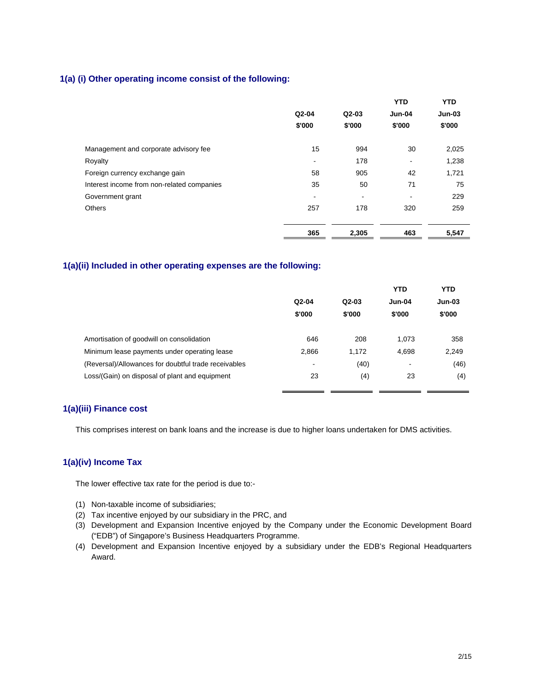# **1(a) (i) Other operating income consist of the following:**

|                                            |         |                          | <b>YTD</b>               | <b>YTD</b> |
|--------------------------------------------|---------|--------------------------|--------------------------|------------|
|                                            | $Q2-04$ | $Q2-03$                  | Jun-04                   | $Jun-03$   |
|                                            | \$'000  | \$'000                   | \$'000                   | \$'000     |
| Management and corporate advisory fee      | 15      | 994                      | 30                       | 2,025      |
| Royalty                                    | -       | 178                      | $\overline{\phantom{a}}$ | 1,238      |
| Foreign currency exchange gain             | 58      | 905                      | 42                       | 1,721      |
| Interest income from non-related companies | 35      | 50                       | 71                       | 75         |
| Government grant                           | -       | $\overline{\phantom{a}}$ | ۰                        | 229        |
| <b>Others</b>                              | 257     | 178                      | 320                      | 259        |
|                                            | 365     | 2,305                    | 463                      | 5,547      |

## **1(a)(ii) Included in other operating expenses are the following:**

|                                                      |         |         | <b>YTD</b>               | <b>YTD</b>    |
|------------------------------------------------------|---------|---------|--------------------------|---------------|
|                                                      | $Q2-04$ | $Q2-03$ | $Jun-04$                 | <b>Jun-03</b> |
|                                                      | \$'000  | \$'000  | \$'000                   | \$'000        |
| Amortisation of goodwill on consolidation            | 646     | 208     | 1.073                    | 358           |
| Minimum lease payments under operating lease         | 2,866   | 1,172   | 4,698                    | 2,249         |
| (Reversal)/Allowances for doubtful trade receivables | -       | (40)    | $\overline{\phantom{a}}$ | (46)          |
| Loss/(Gain) on disposal of plant and equipment       | 23      | (4)     | 23                       | (4)           |
|                                                      |         |         |                          |               |

# **1(a)(iii) Finance cost**

This comprises interest on bank loans and the increase is due to higher loans undertaken for DMS activities.

# **1(a)(iv) Income Tax**

The lower effective tax rate for the period is due to:-

- (1) Non-taxable income of subsidiaries;
- (2) Tax incentive enjoyed by our subsidiary in the PRC, and
- (3) Development and Expansion Incentive enjoyed by the Company under the Economic Development Board ("EDB") of Singapore's Business Headquarters Programme.
- (4) Development and Expansion Incentive enjoyed by a subsidiary under the EDB's Regional Headquarters Award.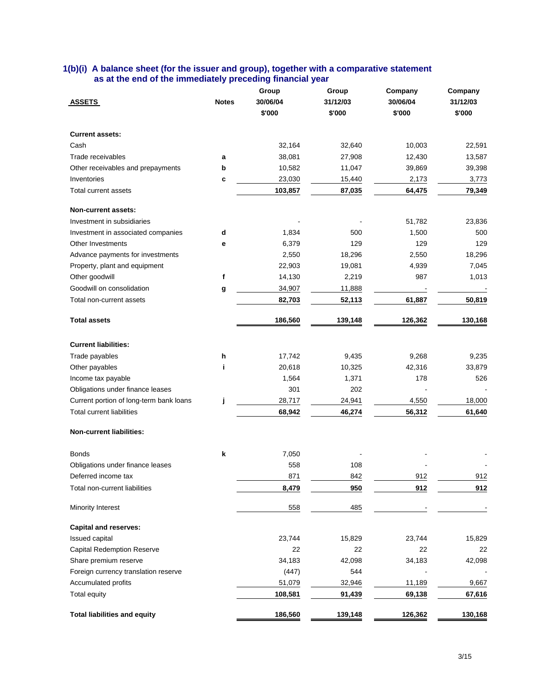| 1(b)(i) A balance sheet (for the issuer and group), together with a comparative statement |  |  |
|-------------------------------------------------------------------------------------------|--|--|
| as at the end of the immediately preceding financial year                                 |  |  |

|                                         |              | Group    | Group    | Company                  | Company  |
|-----------------------------------------|--------------|----------|----------|--------------------------|----------|
| <b>ASSETS</b>                           | <b>Notes</b> | 30/06/04 | 31/12/03 | 30/06/04                 | 31/12/03 |
|                                         |              | \$'000   | \$'000   | \$'000                   | \$'000   |
| <b>Current assets:</b>                  |              |          |          |                          |          |
| Cash                                    |              | 32,164   | 32,640   | 10,003                   | 22,591   |
| Trade receivables                       | a            | 38,081   | 27,908   | 12,430                   | 13,587   |
| Other receivables and prepayments       | b            | 10,582   | 11,047   | 39,869                   | 39,398   |
| Inventories                             | c            | 23,030   | 15,440   | 2,173                    | 3,773    |
| Total current assets                    |              | 103,857  | 87,035   | 64,475                   | 79,349   |
| <b>Non-current assets:</b>              |              |          |          |                          |          |
| Investment in subsidiaries              |              |          |          | 51,782                   | 23,836   |
| Investment in associated companies      | d            | 1,834    | 500      | 1,500                    | 500      |
| Other Investments                       | е            | 6,379    | 129      | 129                      | 129      |
| Advance payments for investments        |              | 2,550    | 18,296   | 2,550                    | 18,296   |
| Property, plant and equipment           |              | 22,903   | 19,081   | 4,939                    | 7,045    |
| Other goodwill                          | $\mathbf f$  | 14,130   | 2,219    | 987                      | 1,013    |
| Goodwill on consolidation               | g            | 34,907   | 11,888   | $\overline{\phantom{a}}$ |          |
| Total non-current assets                |              | 82,703   | 52,113   | 61,887                   | 50,819   |
| <b>Total assets</b>                     |              | 186,560  | 139,148  | 126,362                  | 130,168  |
| <b>Current liabilities:</b>             |              |          |          |                          |          |
| Trade payables                          | h            | 17,742   | 9,435    | 9,268                    | 9,235    |
| Other payables                          |              | 20,618   | 10,325   | 42,316                   | 33,879   |
| Income tax payable                      |              | 1,564    | 1,371    | 178                      | 526      |
| Obligations under finance leases        |              | 301      | 202      |                          |          |
| Current portion of long-term bank loans | j            | 28,717   | 24,941   | 4,550                    | 18,000   |
| <b>Total current liabilities</b>        |              | 68,942   | 46,274   | 56,312                   | 61,640   |
| <b>Non-current liabilities:</b>         |              |          |          |                          |          |
| <b>Bonds</b>                            | k            | 7,050    |          |                          |          |
| Obligations under finance leases        |              | 558      | 108      |                          |          |
| Deferred income tax                     |              | 871      | 842      | 912                      | 912      |
| Total non-current liabilities           |              | 8,479    | 950      | 912                      | 912      |
| Minority Interest                       |              | 558      | 485      |                          |          |
| <b>Capital and reserves:</b>            |              |          |          |                          |          |
| Issued capital                          |              | 23,744   | 15,829   | 23,744                   | 15,829   |
| <b>Capital Redemption Reserve</b>       |              | 22       | 22       | 22                       | 22       |
| Share premium reserve                   |              | 34,183   | 42,098   | 34,183                   | 42,098   |
| Foreign currency translation reserve    |              | (447)    | 544      |                          |          |
| Accumulated profits                     |              | 51,079   | 32,946   | 11,189                   | 9,667    |
| Total equity                            |              | 108,581  | 91,439   | 69,138                   | 67,616   |
| <b>Total liabilities and equity</b>     |              | 186,560  | 139,148  | 126,362                  | 130,168  |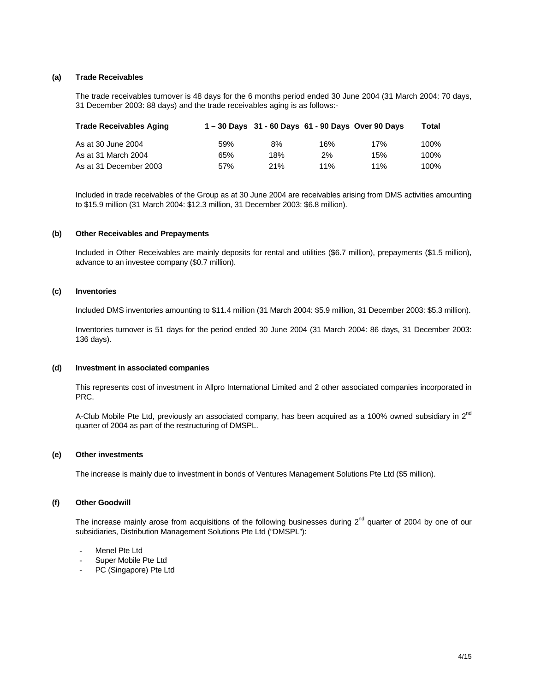### **(a) Trade Receivables**

The trade receivables turnover is 48 days for the 6 months period ended 30 June 2004 (31 March 2004: 70 days, 31 December 2003: 88 days) and the trade receivables aging is as follows:-

| <b>Trade Receivables Aging</b> |     |     | 1-30 Days 31 - 60 Days 61 - 90 Days Over 90 Days |     | Total |
|--------------------------------|-----|-----|--------------------------------------------------|-----|-------|
| As at 30 June 2004             | 59% | 8%  | 16%                                              | 17% | 100%  |
| As at 31 March 2004            | 65% | 18% | 2%                                               | 15% | 100%  |
| As at 31 December 2003         | 57% | 21% | 11%                                              | 11% | 100%  |

Included in trade receivables of the Group as at 30 June 2004 are receivables arising from DMS activities amounting to \$15.9 million (31 March 2004: \$12.3 million, 31 December 2003: \$6.8 million).

#### **(b) Other Receivables and Prepayments**

Included in Other Receivables are mainly deposits for rental and utilities (\$6.7 million), prepayments (\$1.5 million), advance to an investee company (\$0.7 million).

#### **(c) Inventories**

Included DMS inventories amounting to \$11.4 million (31 March 2004: \$5.9 million, 31 December 2003: \$5.3 million).

Inventories turnover is 51 days for the period ended 30 June 2004 (31 March 2004: 86 days, 31 December 2003: 136 days).

#### **(d) Investment in associated companies**

This represents cost of investment in Allpro International Limited and 2 other associated companies incorporated in PRC.

A-Club Mobile Pte Ltd, previously an associated company, has been acquired as a 100% owned subsidiary in 2<sup>nd</sup> quarter of 2004 as part of the restructuring of DMSPL.

## **(e) Other investments**

The increase is mainly due to investment in bonds of Ventures Management Solutions Pte Ltd (\$5 million).

#### **(f) Other Goodwill**

The increase mainly arose from acquisitions of the following businesses during  $2^{nd}$  quarter of 2004 by one of our subsidiaries, Distribution Management Solutions Pte Ltd ("DMSPL"):

- Menel Pte Ltd
- Super Mobile Pte Ltd
- PC (Singapore) Pte Ltd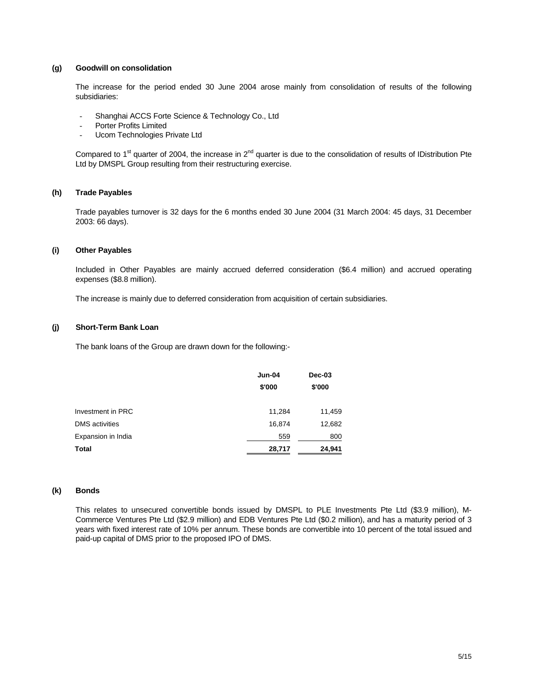## **(g) Goodwill on consolidation**

The increase for the period ended 30 June 2004 arose mainly from consolidation of results of the following subsidiaries:

- Shanghai ACCS Forte Science & Technology Co., Ltd
- Porter Profits Limited
- Ucom Technologies Private Ltd

Compared to 1<sup>st</sup> quarter of 2004, the increase in 2<sup>nd</sup> quarter is due to the consolidation of results of IDistribution Pte Ltd by DMSPL Group resulting from their restructuring exercise.

## **(h) Trade Payables**

Trade payables turnover is 32 days for the 6 months ended 30 June 2004 (31 March 2004: 45 days, 31 December 2003: 66 days).

#### **(i) Other Payables**

Included in Other Payables are mainly accrued deferred consideration (\$6.4 million) and accrued operating expenses (\$8.8 million).

The increase is mainly due to deferred consideration from acquisition of certain subsidiaries.

## **(j) Short-Term Bank Loan**

The bank loans of the Group are drawn down for the following:-

|                       | Jun-04<br>\$'000 | Dec-03<br>\$'000 |
|-----------------------|------------------|------------------|
| Investment in PRC     | 11,284           | 11,459           |
| <b>DMS</b> activities | 16,874           | 12,682           |
| Expansion in India    | 559              | 800              |
| Total                 | 28,717           | 24,941           |

#### **(k) Bonds**

This relates to unsecured convertible bonds issued by DMSPL to PLE Investments Pte Ltd (\$3.9 million), M-Commerce Ventures Pte Ltd (\$2.9 million) and EDB Ventures Pte Ltd (\$0.2 million), and has a maturity period of 3 years with fixed interest rate of 10% per annum. These bonds are convertible into 10 percent of the total issued and paid-up capital of DMS prior to the proposed IPO of DMS.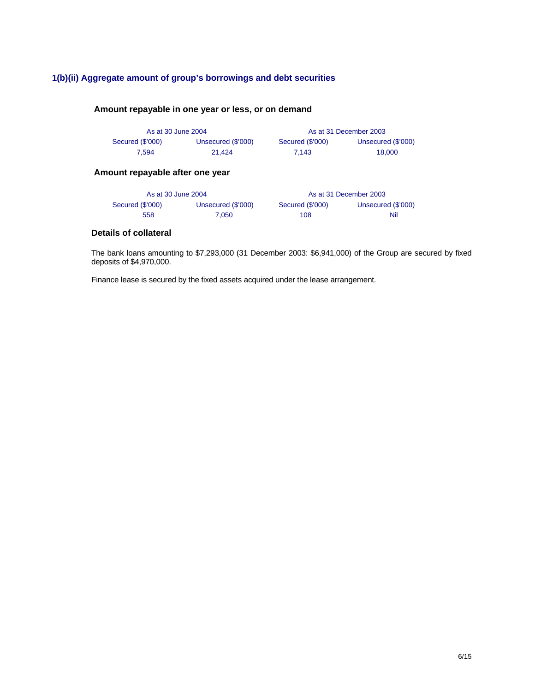# **1(b)(ii) Aggregate amount of group's borrowings and debt securities**

# **Amount repayable in one year or less, or on demand**

| As at 30 June 2004 |                    |                  | As at 31 December 2003 |
|--------------------|--------------------|------------------|------------------------|
| Secured (\$'000)   | Unsecured (\$'000) | Secured (\$'000) | Unsecured (\$'000)     |
| 7.594              | 21.424             | 7.143            | 18,000                 |

# **Amount repayable after one year**

| As at 30 June 2004 |                    |                  | As at 31 December 2003 |
|--------------------|--------------------|------------------|------------------------|
| Secured (\$'000)   | Unsecured (\$'000) | Secured (\$'000) | Unsecured (\$'000)     |
| 558                | 7.050              | 108              | Nil                    |

# **Details of collateral**

The bank loans amounting to \$7,293,000 (31 December 2003: \$6,941,000) of the Group are secured by fixed deposits of \$4,970,000.

Finance lease is secured by the fixed assets acquired under the lease arrangement.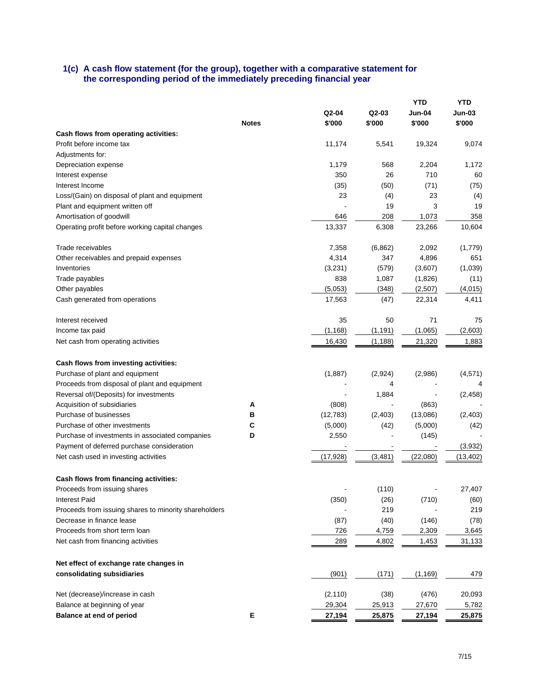## **1(c) A cash flow statement (for the group), together with a comparative statement for the corresponding period of the immediately preceding financial year**

|                                                       |              |           |          | <b>YTD</b> | <b>YTD</b> |
|-------------------------------------------------------|--------------|-----------|----------|------------|------------|
|                                                       |              | Q2-04     | $Q2-03$  | Jun-04     | Jun-03     |
|                                                       | <b>Notes</b> | \$'000    | \$'000   | \$'000     | \$'000     |
| Cash flows from operating activities:                 |              |           |          |            |            |
| Profit before income tax                              |              | 11,174    | 5,541    | 19,324     | 9,074      |
| Adjustments for:                                      |              |           |          |            |            |
| Depreciation expense                                  |              | 1,179     | 568      | 2,204      | 1,172      |
| Interest expense                                      |              | 350       | 26       | 710        | 60         |
| Interest Income                                       |              | (35)      | (50)     | (71)       | (75)       |
| Loss/(Gain) on disposal of plant and equipment        |              | 23        | (4)      | 23         | (4)        |
| Plant and equipment written off                       |              |           | 19       | 3          | 19         |
| Amortisation of goodwill                              |              | 646       | 208      | 1,073      | 358        |
| Operating profit before working capital changes       |              | 13,337    | 6,308    | 23,266     | 10,604     |
| Trade receivables                                     |              | 7,358     | (6,862)  | 2,092      | (1,779)    |
| Other receivables and prepaid expenses                |              | 4,314     | 347      | 4,896      | 651        |
| Inventories                                           |              | (3,231)   | (579)    | (3,607)    | (1,039)    |
| Trade payables                                        |              | 838       | 1,087    | (1,826)    | (11)       |
| Other payables                                        |              | (5,053)   | (348)    | (2,507)    | (4,015)    |
| Cash generated from operations                        |              | 17,563    | (47)     | 22,314     | 4,411      |
| Interest received                                     |              | 35        | 50       | 71         | 75         |
| Income tax paid                                       |              | (1, 168)  | (1, 191) | (1,065)    | (2,603)    |
| Net cash from operating activities                    |              | 16,430    | (1, 188) | 21,320     | 1,883      |
| Cash flows from investing activities:                 |              |           |          |            |            |
| Purchase of plant and equipment                       |              | (1,887)   | (2,924)  | (2,986)    | (4, 571)   |
| Proceeds from disposal of plant and equipment         |              |           | 4        |            | 4          |
| Reversal of/(Deposits) for investments                |              |           | 1,884    |            | (2, 458)   |
| Acquisition of subsidiaries                           | A            | (808)     |          | (863)      |            |
| Purchase of businesses                                | в            | (12, 783) | (2,403)  | (13,086)   | (2,403)    |
| Purchase of other investments                         | С            | (5,000)   | (42)     | (5,000)    | (42)       |
| Purchase of investments in associated companies       | D            | 2,550     |          | (145)      |            |
| Payment of deferred purchase consideration            |              |           |          |            | (3,932)    |
| Net cash used in investing activities                 |              | (17, 928) | (3,481)  | (22,080)   | (13, 402)  |
| Cash flows from financing activities:                 |              |           |          |            |            |
| Proceeds from issuing shares                          |              |           | (110)    |            | 27,407     |
| Interest Paid                                         |              | (350)     | (26)     | (710)      | (60)       |
| Proceeds from issuing shares to minority shareholders |              |           | 219      |            | 219        |
| Decrease in finance lease                             |              | (87)      | (40)     | (146)      | (78)       |
| Proceeds from short term loan                         |              | 726       | 4,759    | 2,309      | 3,645      |
| Net cash from financing activities                    |              | 289       | 4,802    | 1,453      | 31,133     |
|                                                       |              |           |          |            |            |
| Net effect of exchange rate changes in                |              |           |          |            |            |
| consolidating subsidiaries                            |              | (901)     | (171)    | (1, 169)   | 479        |
| Net (decrease)/increase in cash                       |              | (2, 110)  | (38)     | (476)      | 20,093     |
| Balance at beginning of year                          |              | 29,304    | 25,913   | 27,670     | 5,782      |
| Balance at end of period                              | E            | 27,194    | 25,875   | 27,194     | 25,875     |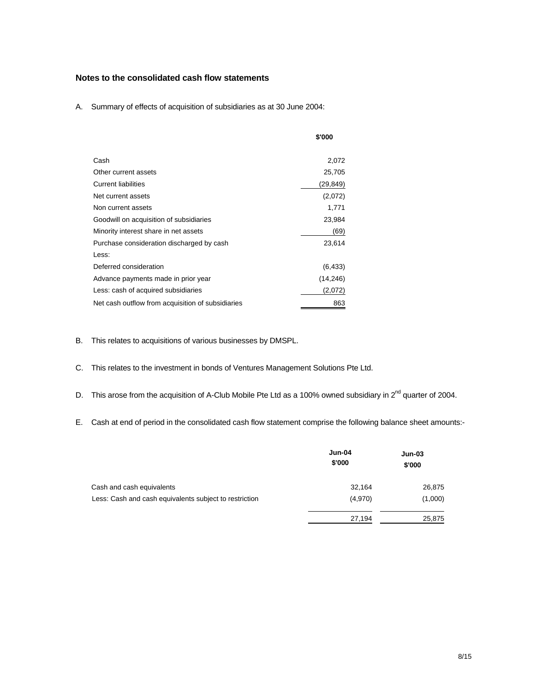# **Notes to the consolidated cash flow statements**

A. Summary of effects of acquisition of subsidiaries as at 30 June 2004:

|                                                   | \$'000   |
|---------------------------------------------------|----------|
| Cash                                              | 2,072    |
| Other current assets                              | 25,705   |
| <b>Current liabilities</b>                        | (29,849) |
| Net current assets                                | (2,072)  |
| Non current assets                                | 1,771    |
| Goodwill on acquisition of subsidiaries           | 23,984   |
| Minority interest share in net assets             | (69)     |
| Purchase consideration discharged by cash         | 23,614   |
| Less:                                             |          |
| Deferred consideration                            | (6, 433) |
| Advance payments made in prior year               | (14,246) |
| Less: cash of acquired subsidiaries               | (2,072)  |
| Net cash outflow from acquisition of subsidiaries | 863      |

- B. This relates to acquisitions of various businesses by DMSPL.
- C. This relates to the investment in bonds of Ventures Management Solutions Pte Ltd.
- D. This arose from the acquisition of A-Club Mobile Pte Ltd as a 100% owned subsidiary in 2<sup>nd</sup> quarter of 2004.
- E. Cash at end of period in the consolidated cash flow statement comprise the following balance sheet amounts:-

|                                                        | <b>Jun-04</b><br>\$'000 | <b>Jun-03</b><br>\$'000 |
|--------------------------------------------------------|-------------------------|-------------------------|
| Cash and cash equivalents                              | 32,164                  | 26,875                  |
| Less: Cash and cash equivalents subject to restriction | (4,970)                 | (1,000)                 |
|                                                        | 27,194                  | 25,875                  |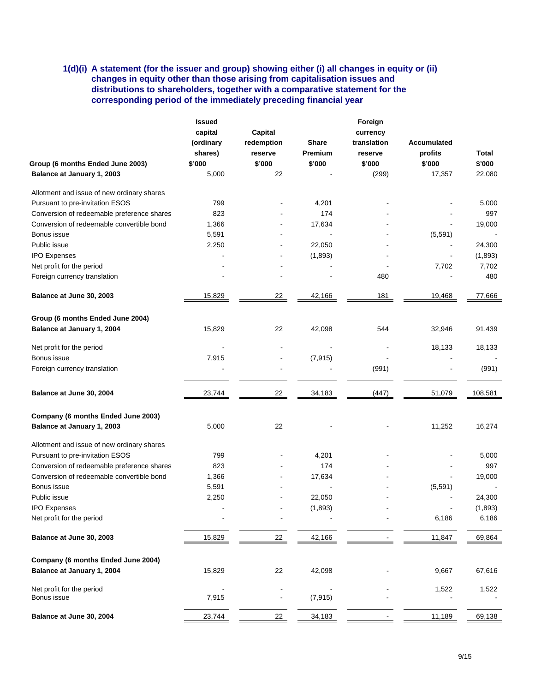# **1(d)(i) A statement (for the issuer and group) showing either (i) all changes in equity or (ii) changes in equity other than those arising from capitalisation issues and distributions to shareholders, together with a comparative statement for the corresponding period of the immediately preceding financial year**

|                                            | <b>Issued</b> |                |              | Foreign     |             |         |  |
|--------------------------------------------|---------------|----------------|--------------|-------------|-------------|---------|--|
|                                            | capital       | Capital        |              | currency    |             |         |  |
|                                            | (ordinary     | redemption     | <b>Share</b> | translation | Accumulated |         |  |
|                                            | shares)       | reserve        | Premium      | reserve     | profits     | Total   |  |
| Group (6 months Ended June 2003)           | \$'000        | \$'000         | \$'000       | \$'000      | \$'000      | \$'000  |  |
| Balance at January 1, 2003                 | 5,000         | 22             |              | (299)       | 17,357      | 22,080  |  |
| Allotment and issue of new ordinary shares |               |                |              |             |             |         |  |
| Pursuant to pre-invitation ESOS            | 799           |                | 4,201        |             |             | 5,000   |  |
| Conversion of redeemable preference shares | 823           |                | 174          |             |             | 997     |  |
| Conversion of redeemable convertible bond  | 1,366         |                | 17,634       |             |             | 19,000  |  |
| Bonus issue                                | 5,591         |                |              |             | (5,591)     |         |  |
| Public issue                               | 2,250         |                | 22,050       |             |             | 24,300  |  |
| <b>IPO Expenses</b>                        |               |                | (1,893)      |             |             | (1,893) |  |
| Net profit for the period                  |               |                |              |             | 7,702       | 7,702   |  |
| Foreign currency translation               |               |                |              | 480         |             | 480     |  |
| Balance at June 30, 2003                   | 15,829        | 22             | 42,166       | 181         | 19,468      | 77,666  |  |
|                                            |               |                |              |             |             |         |  |
| Group (6 months Ended June 2004)           |               |                |              |             |             |         |  |
| Balance at January 1, 2004                 | 15,829        | 22             | 42,098       | 544         | 32,946      | 91,439  |  |
| Net profit for the period                  |               |                |              |             | 18,133      | 18,133  |  |
| Bonus issue                                | 7,915         | $\blacksquare$ | (7, 915)     |             |             |         |  |
| Foreign currency translation               |               | $\blacksquare$ |              | (991)       |             | (991)   |  |
| Balance at June 30, 2004                   | 23,744        | 22             | 34,183       | (447)       | 51,079      | 108,581 |  |
| Company (6 months Ended June 2003)         |               |                |              |             |             |         |  |
| Balance at January 1, 2003                 | 5,000         | 22             |              |             | 11,252      | 16,274  |  |
| Allotment and issue of new ordinary shares |               |                |              |             |             |         |  |
| Pursuant to pre-invitation ESOS            | 799           |                | 4,201        |             |             | 5,000   |  |
| Conversion of redeemable preference shares | 823           |                | 174          |             |             | 997     |  |
| Conversion of redeemable convertible bond  | 1,366         |                | 17,634       |             |             | 19,000  |  |
| Bonus issue                                | 5,591         |                |              |             | (5, 591)    |         |  |
| Public issue                               | 2,250         |                | 22,050       |             |             | 24,300  |  |
| <b>IPO Expenses</b>                        |               |                | (1,893)      |             |             | (1,893) |  |
| Net profit for the period                  |               |                |              |             | 6,186       | 6,186   |  |
| Balance at June 30, 2003                   | 15,829        | $\frac{22}{ }$ | 42,166       |             | 11,847      | 69,864  |  |
| Company (6 months Ended June 2004)         |               |                |              |             |             |         |  |
| Balance at January 1, 2004                 | 15,829        | 22             | 42,098       |             | 9,667       | 67,616  |  |
| Net profit for the period                  |               |                |              |             | 1,522       | 1,522   |  |
| Bonus issue                                | 7,915         |                | (7, 915)     |             |             |         |  |
| Balance at June 30, 2004                   | 23,744        | 22             | 34,183       |             | 11,189      | 69,138  |  |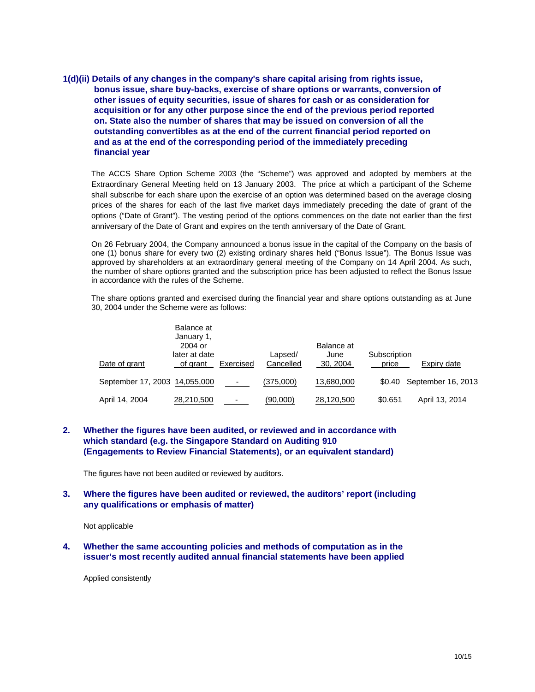**1(d)(ii) Details of any changes in the company's share capital arising from rights issue, bonus issue, share buy-backs, exercise of share options or warrants, conversion of other issues of equity securities, issue of shares for cash or as consideration for acquisition or for any other purpose since the end of the previous period reported on. State also the number of shares that may be issued on conversion of all the outstanding convertibles as at the end of the current financial period reported on and as at the end of the corresponding period of the immediately preceding financial year** 

The ACCS Share Option Scheme 2003 (the "Scheme") was approved and adopted by members at the Extraordinary General Meeting held on 13 January 2003. The price at which a participant of the Scheme shall subscribe for each share upon the exercise of an option was determined based on the average closing prices of the shares for each of the last five market days immediately preceding the date of grant of the options ("Date of Grant"). The vesting period of the options commences on the date not earlier than the first anniversary of the Date of Grant and expires on the tenth anniversary of the Date of Grant.

On 26 February 2004, the Company announced a bonus issue in the capital of the Company on the basis of one (1) bonus share for every two (2) existing ordinary shares held ("Bonus Issue"). The Bonus Issue was approved by shareholders at an extraordinary general meeting of the Company on 14 April 2004. As such, the number of share options granted and the subscription price has been adjusted to reflect the Bonus Issue in accordance with the rules of the Scheme.

The share options granted and exercised during the financial year and share options outstanding as at June 30, 2004 under the Scheme were as follows:

| Date of grant                 | Balance at<br>January 1,<br>2004 or<br>later at date<br>of grant | Exercised     | Lapsed/<br>Cancelled | Balance at<br>June<br>30, 2004 | Subscription<br>price | Expiry date               |
|-------------------------------|------------------------------------------------------------------|---------------|----------------------|--------------------------------|-----------------------|---------------------------|
| September 17, 2003 14,055,000 |                                                                  | $\frac{1}{2}$ | (375,000)            | 13,680,000                     |                       | \$0.40 September 16, 2013 |
| April 14, 2004                | 28,210,500                                                       | $\sim$        | (90,000)             | 28,120,500                     | \$0.651               | April 13, 2014            |

# **2. Whether the figures have been audited, or reviewed and in accordance with which standard (e.g. the Singapore Standard on Auditing 910 (Engagements to Review Financial Statements), or an equivalent standard)**

The figures have not been audited or reviewed by auditors.

## **3. Where the figures have been audited or reviewed, the auditors' report (including any qualifications or emphasis of matter)**

Not applicable

**4. Whether the same accounting policies and methods of computation as in the issuer's most recently audited annual financial statements have been applied** 

Applied consistently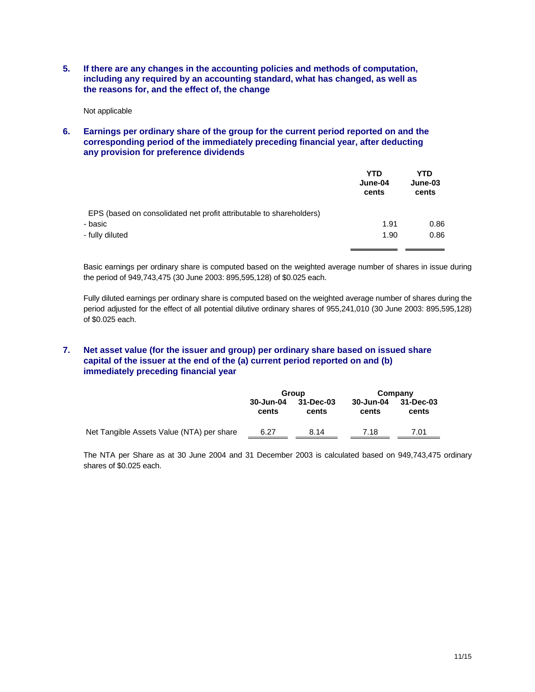**5. If there are any changes in the accounting policies and methods of computation, including any required by an accounting standard, what has changed, as well as the reasons for, and the effect of, the change** 

Not applicable

**6. Earnings per ordinary share of the group for the current period reported on and the corresponding period of the immediately preceding financial year, after deducting any provision for preference dividends** 

|                                                                     | <b>YTD</b><br>June-04<br>cents | YTD<br>June-03<br>cents |
|---------------------------------------------------------------------|--------------------------------|-------------------------|
| EPS (based on consolidated net profit attributable to shareholders) |                                |                         |
| - basic                                                             | 1.91                           | 0.86                    |
| - fully diluted                                                     | 1.90                           | 0.86                    |
|                                                                     |                                |                         |

Basic earnings per ordinary share is computed based on the weighted average number of shares in issue during the period of 949,743,475 (30 June 2003: 895,595,128) of \$0.025 each.

Fully diluted earnings per ordinary share is computed based on the weighted average number of shares during the period adjusted for the effect of all potential dilutive ordinary shares of 955,241,010 (30 June 2003: 895,595,128) of \$0.025 each.

# **7. Net asset value (for the issuer and group) per ordinary share based on issued share capital of the issuer at the end of the (a) current period reported on and (b) immediately preceding financial year**

|                                           | Group              |                    |                    | Company            |
|-------------------------------------------|--------------------|--------------------|--------------------|--------------------|
|                                           | 30-Jun-04<br>cents | 31-Dec-03<br>cents | 30-Jun-04<br>cents | 31-Dec-03<br>cents |
| Net Tangible Assets Value (NTA) per share | 6.27               | 8.14               | 7.18               | 7.01               |

The NTA per Share as at 30 June 2004 and 31 December 2003 is calculated based on 949,743,475 ordinary shares of \$0.025 each.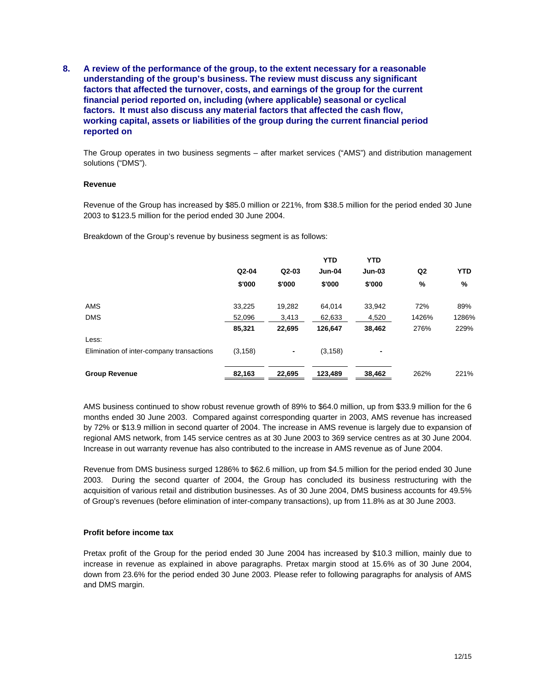**8. A review of the performance of the group, to the extent necessary for a reasonable understanding of the group's business. The review must discuss any significant factors that affected the turnover, costs, and earnings of the group for the current financial period reported on, including (where applicable) seasonal or cyclical factors. It must also discuss any material factors that affected the cash flow, working capital, assets or liabilities of the group during the current financial period reported on** 

The Group operates in two business segments – after market services ("AMS") and distribution management solutions ("DMS").

#### **Revenue**

Revenue of the Group has increased by \$85.0 million or 221%, from \$38.5 million for the period ended 30 June 2003 to \$123.5 million for the period ended 30 June 2004.

Breakdown of the Group's revenue by business segment is as follows:

|                                           |          |         | <b>YTD</b> | <b>YTD</b> |                |            |
|-------------------------------------------|----------|---------|------------|------------|----------------|------------|
|                                           | $Q2-04$  | $Q2-03$ | Jun-04     | $Jun-03$   | Q <sub>2</sub> | <b>YTD</b> |
|                                           | \$'000   | \$'000  | \$'000     | \$'000     | %              | %          |
| AMS                                       | 33.225   | 19,282  | 64.014     | 33,942     | 72%            | 89%        |
| <b>DMS</b>                                | 52.096   | 3,413   | 62,633     | 4,520      | 1426%          | 1286%      |
|                                           | 85,321   | 22,695  | 126,647    | 38,462     | 276%           | 229%       |
| Less:                                     |          |         |            |            |                |            |
| Elimination of inter-company transactions | (3, 158) |         | (3, 158)   | ٠          |                |            |
| <b>Group Revenue</b>                      | 82,163   | 22,695  | 123,489    | 38,462     | 262%           | 221%       |

AMS business continued to show robust revenue growth of 89% to \$64.0 million, up from \$33.9 million for the 6 months ended 30 June 2003. Compared against corresponding quarter in 2003, AMS revenue has increased by 72% or \$13.9 million in second quarter of 2004. The increase in AMS revenue is largely due to expansion of regional AMS network, from 145 service centres as at 30 June 2003 to 369 service centres as at 30 June 2004. Increase in out warranty revenue has also contributed to the increase in AMS revenue as of June 2004.

Revenue from DMS business surged 1286% to \$62.6 million, up from \$4.5 million for the period ended 30 June 2003. During the second quarter of 2004, the Group has concluded its business restructuring with the acquisition of various retail and distribution businesses. As of 30 June 2004, DMS business accounts for 49.5% of Group's revenues (before elimination of inter-company transactions), up from 11.8% as at 30 June 2003.

#### **Profit before income tax**

Pretax profit of the Group for the period ended 30 June 2004 has increased by \$10.3 million, mainly due to increase in revenue as explained in above paragraphs. Pretax margin stood at 15.6% as of 30 June 2004, down from 23.6% for the period ended 30 June 2003. Please refer to following paragraphs for analysis of AMS and DMS margin.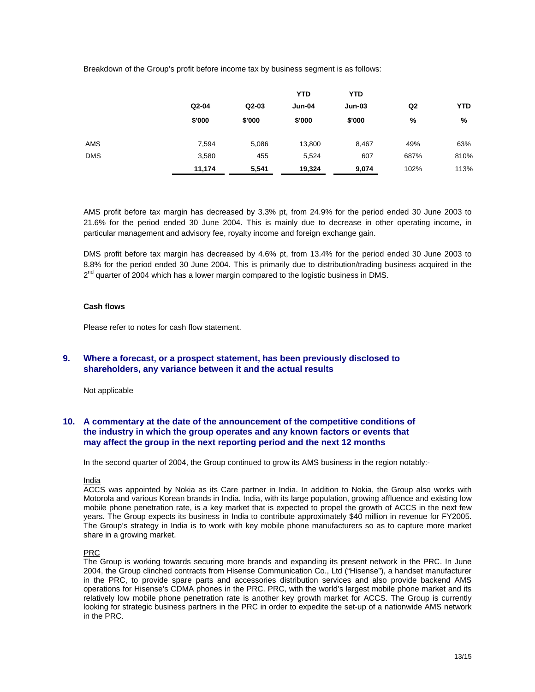Breakdown of the Group's profit before income tax by business segment is as follows:

|            |         |         | <b>YTD</b> | <b>YTD</b> |                |      |
|------------|---------|---------|------------|------------|----------------|------|
|            | $Q2-04$ | $Q2-03$ | Jun-04     | $Jun-03$   | Q <sub>2</sub> | YTD  |
|            | \$'000  | \$'000  | \$'000     | \$'000     | %              | %    |
| AMS        | 7,594   | 5,086   | 13,800     | 8,467      | 49%            | 63%  |
| <b>DMS</b> | 3,580   | 455     | 5,524      | 607        | 687%           | 810% |
|            | 11,174  | 5,541   | 19,324     | 9,074      | 102%           | 113% |

AMS profit before tax margin has decreased by 3.3% pt, from 24.9% for the period ended 30 June 2003 to 21.6% for the period ended 30 June 2004. This is mainly due to decrease in other operating income, in particular management and advisory fee, royalty income and foreign exchange gain.

DMS profit before tax margin has decreased by 4.6% pt, from 13.4% for the period ended 30 June 2003 to 8.8% for the period ended 30 June 2004. This is primarily due to distribution/trading business acquired in the  $2<sup>nd</sup>$  quarter of 2004 which has a lower margin compared to the logistic business in DMS.

#### **Cash flows**

Please refer to notes for cash flow statement.

## **9. Where a forecast, or a prospect statement, has been previously disclosed to shareholders, any variance between it and the actual results**

Not applicable

# **10. A commentary at the date of the announcement of the competitive conditions of the industry in which the group operates and any known factors or events that may affect the group in the next reporting period and the next 12 months**

In the second quarter of 2004, the Group continued to grow its AMS business in the region notably:-

#### India

ACCS was appointed by Nokia as its Care partner in India. In addition to Nokia, the Group also works with Motorola and various Korean brands in India. India, with its large population, growing affluence and existing low mobile phone penetration rate, is a key market that is expected to propel the growth of ACCS in the next few years. The Group expects its business in India to contribute approximately \$40 million in revenue for FY2005. The Group's strategy in India is to work with key mobile phone manufacturers so as to capture more market share in a growing market.

#### PRC

The Group is working towards securing more brands and expanding its present network in the PRC. In June 2004, the Group clinched contracts from Hisense Communication Co., Ltd ("Hisense"), a handset manufacturer in the PRC, to provide spare parts and accessories distribution services and also provide backend AMS operations for Hisense's CDMA phones in the PRC. PRC, with the world's largest mobile phone market and its relatively low mobile phone penetration rate is another key growth market for ACCS. The Group is currently looking for strategic business partners in the PRC in order to expedite the set-up of a nationwide AMS network in the PRC.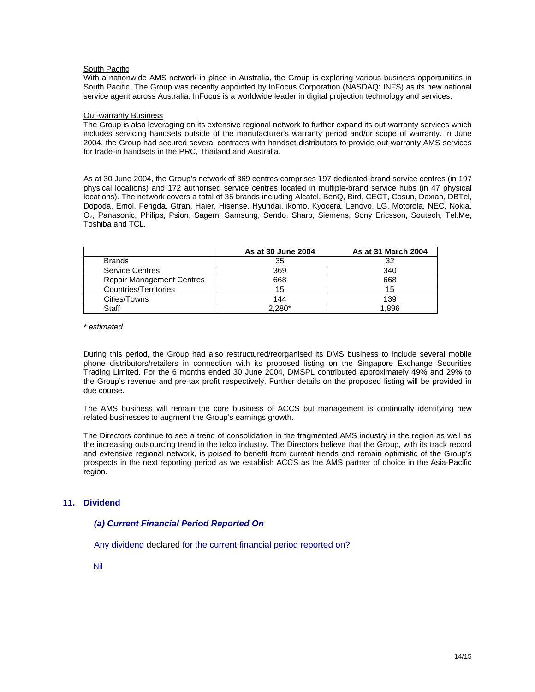#### **South Pacific**

With a nationwide AMS network in place in Australia, the Group is exploring various business opportunities in South Pacific. The Group was recently appointed by InFocus Corporation (NASDAQ: INFS) as its new national service agent across Australia. InFocus is a worldwide leader in digital projection technology and services.

#### Out-warranty Business

The Group is also leveraging on its extensive regional network to further expand its out-warranty services which includes servicing handsets outside of the manufacturer's warranty period and/or scope of warranty. In June 2004, the Group had secured several contracts with handset distributors to provide out-warranty AMS services for trade-in handsets in the PRC, Thailand and Australia.

As at 30 June 2004, the Group's network of 369 centres comprises 197 dedicated-brand service centres (in 197 physical locations) and 172 authorised service centres located in multiple-brand service hubs (in 47 physical locations). The network covers a total of 35 brands including Alcatel, BenQ, Bird, CECT, Cosun, Daxian, DBTel, Dopoda, Emol, Fengda, Gtran, Haier, Hisense, Hyundai, ikomo, Kyocera, Lenovo, LG, Motorola, NEC, Nokia, O2, Panasonic, Philips, Psion, Sagem, Samsung, Sendo, Sharp, Siemens, Sony Ericsson, Soutech, Tel.Me, Toshiba and TCL.

|                                  | As at 30 June 2004 | As at 31 March 2004 |
|----------------------------------|--------------------|---------------------|
| <b>Brands</b>                    | 35                 |                     |
| <b>Service Centres</b>           | 369                | 340                 |
| <b>Repair Management Centres</b> | 668                | 668                 |
| Countries/Territories            | 15                 | 15                  |
| Cities/Towns                     | 144                | 139                 |
| Staff                            | 2,280*             | 1.896               |

*\* estimated* 

During this period, the Group had also restructured/reorganised its DMS business to include several mobile phone distributors/retailers in connection with its proposed listing on the Singapore Exchange Securities Trading Limited. For the 6 months ended 30 June 2004, DMSPL contributed approximately 49% and 29% to the Group's revenue and pre-tax profit respectively. Further details on the proposed listing will be provided in due course.

The AMS business will remain the core business of ACCS but management is continually identifying new related businesses to augment the Group's earnings growth.

The Directors continue to see a trend of consolidation in the fragmented AMS industry in the region as well as the increasing outsourcing trend in the telco industry. The Directors believe that the Group, with its track record and extensive regional network, is poised to benefit from current trends and remain optimistic of the Group's prospects in the next reporting period as we establish ACCS as the AMS partner of choice in the Asia-Pacific region.

## **11. Dividend**

## *(a) Current Financial Period Reported On*

Any dividend declared for the current financial period reported on?

Nil